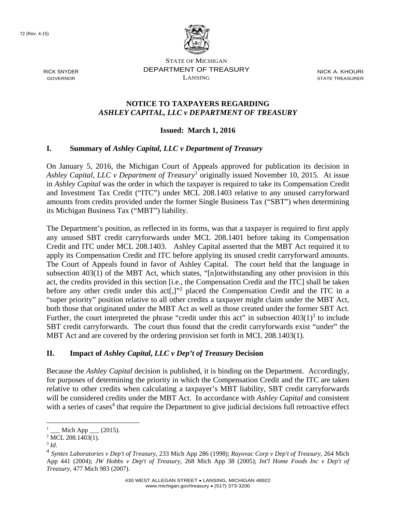72 (Rev. 4-15)



RICK SNYDER GOVERNOR

STATE OF MICHIGAN DEPARTMENT OF TREASURY LANSING

NICK A. KHOURI STATE TREASURER

### **NOTICE TO TAXPAYERS REGARDING**  *ASHLEY CAPITAL, LLC v DEPARTMENT OF TREASURY*

## **Issued: March 1, 2016**

### **I. Summary of** *Ashley Capital, LLC v Department of Treasury*

On January 5, 2016, the Michigan Court of Appeals approved for publication its decision in Ashley Capital, LLC v Department of Treasury<sup>1</sup> originally issued November 10, 2015. At issue in *Ashley Capital* was the order in which the taxpayer is required to take its Compensation Credit and Investment Tax Credit ("ITC") under MCL 208.1403 relative to any unused carryforward amounts from credits provided under the former Single Business Tax ("SBT") when determining its Michigan Business Tax ("MBT") liability.

The Department's position, as reflected in its forms, was that a taxpayer is required to first apply any unused SBT credit carryforwards under MCL 208.1401 before taking its Compensation Credit and ITC under MCL 208.1403. Ashley Capital asserted that the MBT Act required it to apply its Compensation Credit and ITC before applying its unused credit carryforward amounts. The Court of Appeals found in favor of Ashley Capital. The court held that the language in subsection  $403(1)$  of the MBT Act, which states, "[n]otwithstanding any other provision in this act, the credits provided in this section [i.e., the Compensation Credit and the ITC] shall be taken before any other credit under this act<sup>[1,1,122</sup> placed the Compensation Credit and the ITC in a "super priority" position relative to all other credits a taxpayer might claim under the MBT Act, both those that originated under the MBT Act as well as those created under the former SBT Act. Further, the court interpreted the phrase "credit under this act" in subsection  $403(1)^3$  to include SBT credit carryforwards. The court thus found that the credit carryforwards exist "under" the MBT Act and are covered by the ordering provision set forth in MCL 208.1403(1).

### **II. Impact of** *Ashley Capital***,** *LLC v Dep't of Treasury* **Decision**

Because the *Ashley Capital* decision is published, it is binding on the Department. Accordingly, for purposes of determining the priority in which the Compensation Credit and the ITC are taken relative to other credits when calculating a taxpayer's MBT liability, SBT credit carryforwards will be considered credits under the MBT Act. In accordance with *Ashley Capital* and consistent with a series of cases<sup>4</sup> that require the Department to give judicial decisions full retroactive effect

 $\overline{a}$ 

<sup>1</sup>  $\_$  Mich App  $\_$  (2015).

 $2$  MCL 208.1403(1).

<sup>3</sup> *Id*. 4 *Syntex Laboratories v Dep't of Treasury,* 233 Mich App 286 (1998); *Rayovac Corp v Dep't of Treasury,* 264 Mich App 441 (2004); *JW Hobbs v Dep't of Treasury,* 268 Mich App 38 (2005); *Int'l Home Foods Inc v Dep't of Treasury,* 477 Mich 983 (2007).